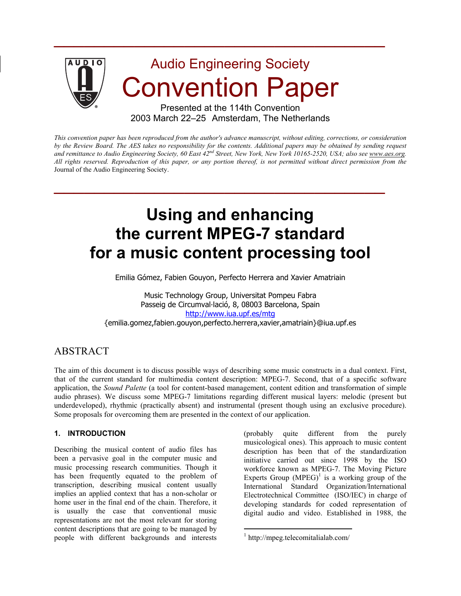

 $\mathcal{L}_\text{max}$  and  $\mathcal{L}_\text{max}$  and  $\mathcal{L}_\text{max}$  and  $\mathcal{L}_\text{max}$  and  $\mathcal{L}_\text{max}$ 

*This convention paper has been reproduced from the author's advance manuscript, without editing, corrections, or consideration by the Review Board. The AES takes no responsibility for the contents. Additional papers may be obtained by sending request and remittance to Audio Engineering Society, 60 East 42nd Street, New York, New York 10165-2520, USA; also see www.aes.org. All rights reserved. Reproduction of this paper, or any portion thereof, is not permitted without direct permission from the* Journal of the Audio Engineering Society.

 $\mathcal{L}_\text{max}$  and  $\mathcal{L}_\text{max}$  and  $\mathcal{L}_\text{max}$  and  $\mathcal{L}_\text{max}$  and  $\mathcal{L}_\text{max}$ 

# **Using and enhancing the current MPEG-7 standard for a music content processing tool**

Emilia Gómez, Fabien Gouyon, Perfecto Herrera and Xavier Amatriain

Music Technology Group, Universitat Pompeu Fabra Passeig de Circumval·lació, 8, 08003 Barcelona, Spain http://www.iua.upf.es/mtg {emilia.gomez,fabien.gouyon,perfecto.herrera,xavier,amatriain}@iua.upf.es

# ABSTRACT

The aim of this document is to discuss possible ways of describing some music constructs in a dual context. First, that of the current standard for multimedia content description: MPEG-7. Second, that of a specific software application, the *Sound Palette* (a tool for content-based management, content edition and transformation of simple audio phrases). We discuss some MPEG-7 limitations regarding different musical layers: melodic (present but underdeveloped), rhythmic (practically absent) and instrumental (present though using an exclusive procedure). Some proposals for overcoming them are presented in the context of our application.

 $\overline{a}$ 

#### **1. INTRODUCTION**

Describing the musical content of audio files has been a pervasive goal in the computer music and music processing research communities. Though it has been frequently equated to the problem of transcription, describing musical content usually implies an applied context that has a non-scholar or home user in the final end of the chain. Therefore, it is usually the case that conventional music representations are not the most relevant for storing content descriptions that are going to be managed by people with different backgrounds and interests (probably quite different from the purely musicological ones). This approach to music content description has been that of the standardization initiative carried out since 1998 by the ISO workforce known as MPEG-7. The Moving Picture Experts Group  $(MPEG)^1$  is a working group of the International Standard Organization/International Electrotechnical Committee (ISO/IEC) in charge of developing standards for coded representation of digital audio and video. Established in 1988, the

<sup>1</sup> http://mpeg.telecomitalialab.com/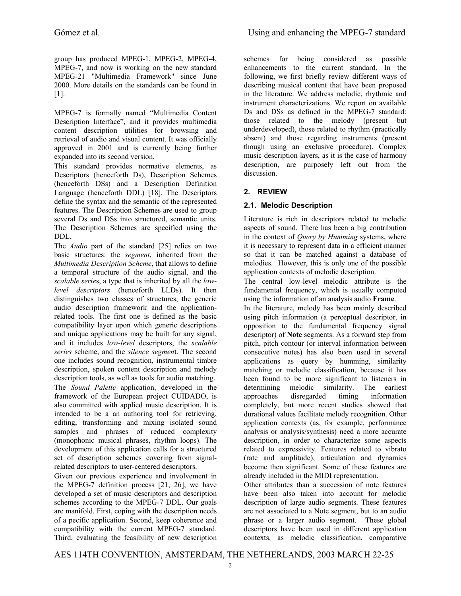group has produced MPEG-1, MPEG-2, MPEG-4, MPEG-7, and now is working on the new standard MPEG-21 "Multimedia Framework" since June 2000. More details on the standards can be found in [1].

MPEG-7 is formally named "Multimedia Content Description Interface", and it provides multimedia content description utilities for browsing and retrieval of audio and visual content. It was officially approved in 2001 and is currently being further expanded into its second version.

This standard provides normative elements, as Descriptors (henceforth Ds), Description Schemes (henceforth DSs) and a Description Definition Language (henceforth DDL) [18]. The Descriptors define the syntax and the semantic of the represented features. The Description Schemes are used to group several Ds and DSs into structured, semantic units. The Description Schemes are specified using the DDL.

The *Audio* part of the standard [25] relies on two basic structures: the *segment*, inherited from the *Multimedia Description Scheme*, that allows to define a temporal structure of the audio signal, and the *scalable serie*s, a type that is inherited by all the *lowlevel descriptors* (henceforth LLDs). It then distinguishes two classes of structures, the generic audio description framework and the applicationrelated tools. The first one is defined as the basic compatibility layer upon which generic descriptions and unique applications may be built for any signal, and it includes *low-level* descriptors, the *scalable series* scheme, and the *silence segmen*t. The second one includes sound recognition, instrumental timbre description, spoken content description and melody description tools, as well as tools for audio matching.

The *Sound Palette* application, developed in the framework of the European project CUIDADO, is also committed with applied music description. It is intended to be a an authoring tool for retrieving, editing, transforming and mixing isolated sound samples and phrases of reduced complexity (monophonic musical phrases, rhythm loops). The development of this application calls for a structured set of description schemes covering from signalrelated descriptors to user-centered descriptors.

Given our previous experience and involvement in the MPEG-7 definition process [21, 26], we have developed a set of music descriptors and description schemes according to the MPEG-7 DDL. Our goals are manifold. First, coping with the description needs of a pecific application. Second, keep coherence and compatibility with the current MPEG-7 standard. Third, evaluating the feasibility of new description

schemes for being considered as possible enhancements to the current standard. In the following, we first briefly review different ways of describing musical content that have been proposed in the literature. We address melodic, rhythmic and instrument characterizations. We report on available Ds and DSs as defined in the MPEG-7 standard: those related to the melody (present but underdeveloped), those related to rhythm (practically absent) and those regarding instruments (present though using an exclusive procedure). Complex music description layers, as it is the case of harmony description, are purposely left out from the discussion.

# **2. REVIEW**

### **2.1. Melodic Description**

Literature is rich in descriptors related to melodic aspects of sound. There has been a big contribution in the context of *Query by Humming* systems, where it is necessary to represent data in a efficient manner so that it can be matched against a database of melodies. However, this is only one of the possible application contexts of melodic description.

The central low-level melodic attribute is the fundamental frequency, which is usually computed using the information of an analysis audio **Frame**.

In the literature, melody has been mainly described using pitch information (a perceptual descriptor, in opposition to the fundamental frequency signal descriptor) of **Note** segments. As a forward step from pitch, pitch contour (or interval information between consecutive notes) has also been used in several applications as query by humming, similarity matching or melodic classification, because it has been found to be more significant to listeners in determining melodic similarity. The earliest approaches disregarded timing information completely, but more recent studies showed that durational values facilitate melody recognition. Other application contexts (as, for example, performance analysis or analysis/synthesis) need a more accurate description, in order to characterize some aspects related to expressivity. Features related to vibrato (rate and amplitude), articulation and dynamics become then significant. Some of these features are already included in the MIDI representation.

Other attributes than a succession of note features have been also taken into account for melodic description of large audio segments. These features are not associated to a Note segment, but to an audio phrase or a larger audio segment. These global descriptors have been used in different application contexts, as melodic classification, comparative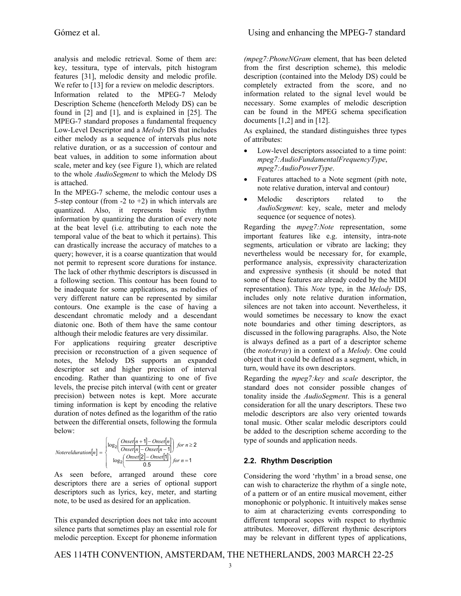analysis and melodic retrieval. Some of them are: key, tessitura, type of intervals, pitch histogram features [31], melodic density and melodic profile. We refer to [13] for a review on melodic descriptors. Information related to the MPEG-7 Melody Description Scheme (henceforth Melody DS) can be found in [2] and [1], and is explained in [25]. The MPEG-7 standard proposes a fundamental frequency Low-Level Descriptor and a *Melody* DS that includes either melody as a sequence of intervals plus note relative duration, or as a succession of contour and beat values, in addition to some information about scale, meter and key (see Figure 1), which are related to the whole *AudioSegment* to which the Melody DS is attached.

In the MPEG-7 scheme, the melodic contour uses a 5-step contour (from  $-2$  to  $+2$ ) in which intervals are quantized. Also, it represents basic rhythm information by quantizing the duration of every note at the beat level (i.e. attributing to each note the temporal value of the beat to which it pertains). This can drastically increase the accuracy of matches to a query; however, it is a coarse quantization that would not permit to represent score durations for instance. The lack of other rhythmic descriptors is discussed in a following section. This contour has been found to be inadequate for some applications, as melodies of very different nature can be represented by similar contours. One example is the case of having a descendant chromatic melody and a descendant diatonic one. Both of them have the same contour although their melodic features are very dissimilar.

For applications requiring greater descriptive precision or reconstruction of a given sequence of notes, the Melody DS supports an expanded descriptor set and higher precision of interval encoding. Rather than quantizing to one of five levels, the precise pitch interval (with cent or greater precision) between notes is kept. More accurate timing information is kept by encoding the relative duration of notes defined as the logarithm of the ratio between the differential onsets, following the formula below:

$$
Noterelduration[n] = \begin{cases} \log_2\left(\frac{Onset[n+1] - Onset[n]}{Onset[n] - Onset[n-1]}\right) \text{ for } n \ge 2\\ \log_2\left(\frac{Onset[2] - Onset[n]}{0.5}\right) \text{ for } n = 1 \end{cases}
$$

As seen before, arranged around these core descriptors there are a series of optional support descriptors such as lyrics, key, meter, and starting note, to be used as desired for an application.

This expanded description does not take into account silence parts that sometimes play an essential role for melodic perception. Except for phoneme information

*(mpeg7:PhoneNGram* element, that has been deleted from the first description scheme), this melodic description (contained into the Melody DS) could be completely extracted from the score, and no information related to the signal level would be necessary. Some examples of melodic description can be found in the MPEG schema specification documents  $[1,2]$  and in  $[12]$ .

As explained, the standard distinguishes three types of attributes:

- Low-level descriptors associated to a time point: *mpeg7:AudioFundamentalFrequencyType*, *mpeg7:AudioPowerType*.
- Features attached to a Note segment (pith note, note relative duration, interval and contour)
- Melodic descriptors related to the *AudioSegment*: key, scale, meter and melody sequence (or sequence of notes).

Regarding the *mpeg7:Note* representation, some important features like e.g. intensity, intra-note segments, articulation or vibrato are lacking; they nevertheless would be necessary for, for example, performance analysis, expressivity characterization and expressive synthesis (it should be noted that some of these features are already coded by the MIDI representation). This *Note* type, in the *Melody* DS, includes only note relative duration information, silences are not taken into account. Nevertheless, it would sometimes be necessary to know the exact note boundaries and other timing descriptors, as discussed in the following paragraphs. Also, the Note is always defined as a part of a descriptor scheme (the *noteArray*) in a context of a *Melody*. One could object that it could be defined as a segment, which, in turn, would have its own descriptors.

Regarding the *mpeg7:key* and *scale* descriptor, the standard does not consider possible changes of tonality inside the *AudioSegment*. This is a general consideration for all the unary descriptors. These two melodic descriptors are also very oriented towards tonal music. Other scalar melodic descriptors could be added to the description scheme according to the type of sounds and application needs.

# **2.2. Rhythm Description**

Considering the word 'rhythm' in a broad sense, one can wish to characterize the rhythm of a single note, of a pattern or of an entire musical movement, either monophonic or polyphonic. It intuitively makes sense to aim at characterizing events corresponding to different temporal scopes with respect to rhythmic attributes. Moreover, different rhythmic descriptors may be relevant in different types of applications,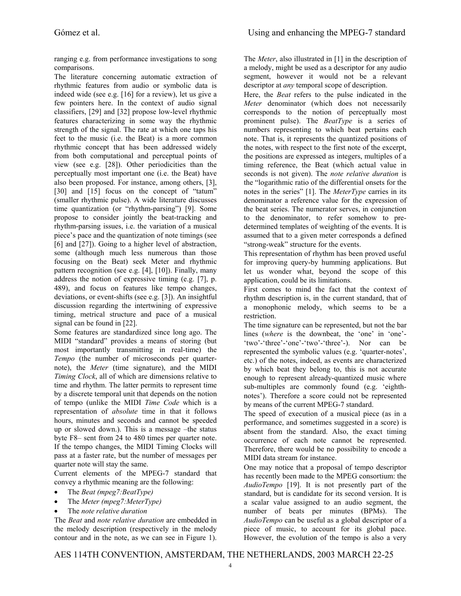ranging e.g. from performance investigations to song comparisons.

The literature concerning automatic extraction of rhythmic features from audio or symbolic data is indeed wide (see e.g. [16] for a review), let us give a few pointers here. In the context of audio signal classifiers, [29] and [32] propose low-level rhythmic features characterizing in some way the rhythmic strength of the signal. The rate at which one taps his feet to the music (i.e. the Beat) is a more common rhythmic concept that has been addressed widely from both computational and perceptual points of view (see e.g. [28]). Other periodicities than the perceptually most important one (i.e. the Beat) have also been proposed. For instance, among others, [3], [30] and [15] focus on the concept of "tatum" (smaller rhythmic pulse). A wide literature discusses time quantization (or "rhythm-parsing") [9]. Some propose to consider jointly the beat-tracking and rhythm-parsing issues, i.e. the variation of a musical piece's pace and the quantization of note timings (see [6] and [27]). Going to a higher level of abstraction, some (although much less numerous than those focusing on the Beat) seek Meter and rhythmic pattern recognition (see e.g. [4], [10]). Finally, many address the notion of expressive timing (e.g. [7], p. 489), and focus on features like tempo changes, deviations, or event-shifts (see e.g. [3]). An insightful discussion regarding the intertwining of expressive timing, metrical structure and pace of a musical signal can be found in [22].

Some features are standardized since long ago. The MIDI "standard" provides a means of storing (but most importantly transmitting in real-time) the *Tempo* (the number of microseconds per quarternote), the *Meter* (time signature), and the MIDI *Timing Clock*, all of which are dimensions relative to time and rhythm. The latter permits to represent time by a discrete temporal unit that depends on the notion of tempo (unlike the MIDI *Time Code* which is a representation of *absolute* time in that it follows hours, minutes and seconds and cannot be speeded up or slowed down.). This is a message –the status byte F8– sent from 24 to 480 times per quarter note. If the tempo changes, the MIDI Timing Clocks will pass at a faster rate, but the number of messages per quarter note will stay the same.

Current elements of the MPEG-7 standard that convey a rhythmic meaning are the following:

- The *Beat (mpeg7:BeatType)*
- The *Meter (mpeg7:MeterType)*
- The *note relative duration*

The *Beat* and *note relative duration* are embedded in the melody description (respectively in the melody contour and in the note, as we can see in Figure 1).

The *Meter*, also illustrated in [1] in the description of a melody, might be used as a descriptor for any audio segment, however it would not be a relevant descriptor at *any* temporal scope of description.

Here, the *Beat* refers to the pulse indicated in the *Meter* denominator (which does not necessarily corresponds to the notion of perceptually most prominent pulse). The *BeatType* is a series of numbers representing to which beat pertains each note. That is, it represents the quantized positions of the notes, with respect to the first note of the excerpt, the positions are expressed as integers, multiples of a timing reference, the Beat (which actual value in seconds is not given). The *note relative duration* is the "logarithmic ratio of the differential onsets for the notes in the series" [1]. The *MeterType* carries in its denominator a reference value for the expression of the beat series. The numerator serves, in conjunction to the denominator, to refer somehow to predetermined templates of weighting of the events. It is assumed that to a given meter corresponds a defined "strong-weak" structure for the events.

This representation of rhythm has been proved useful for improving query-by humming applications. But let us wonder what, beyond the scope of this application, could be its limitations.

First comes to mind the fact that the context of rhythm description is, in the current standard, that of a monophonic melody, which seems to be a restriction.

The time signature can be represented, but not the bar lines (*where* is the downbeat, the 'one' in 'one'-'two'-'three'-'one'-'two'-'three'-). Nor can be represented the symbolic values (e.g. 'quarter-notes', etc.) of the notes, indeed, as events are characterized by which beat they belong to, this is not accurate enough to represent already-quantized music where sub-multiples are commonly found (e.g. 'eighthnotes'). Therefore a score could not be represented by means of the current MPEG-7 standard.

The speed of execution of a musical piece (as in a performance, and sometimes suggested in a score) is absent from the standard. Also, the exact timing occurrence of each note cannot be represented. Therefore, there would be no possibility to encode a MIDI data stream for instance.

One may notice that a proposal of tempo descriptor has recently been made to the MPEG consortium: the *AudioTempo* [19]. It is not presently part of the standard, but is candidate for its second version. It is a scalar value assigned to an audio segment, the number of beats per minutes (BPMs). The *AudioTempo* can be useful as a global descriptor of a piece of music, to account for its global pace. However, the evolution of the tempo is also a very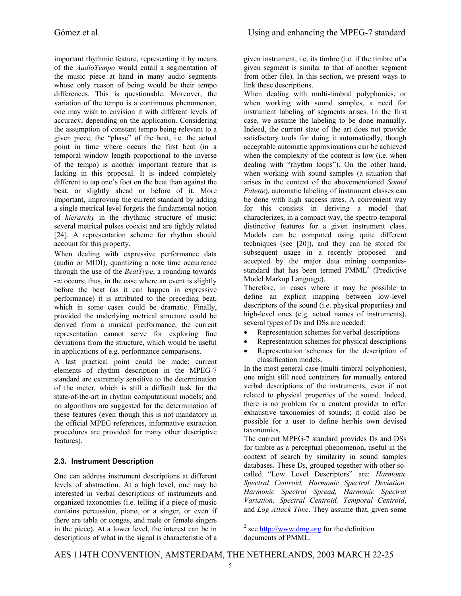important rhythmic feature, representing it by means of the *AudioTempo* would entail a segmentation of the music piece at hand in many audio segments whose only reason of being would be their tempo differences. This is questionable. Moreover, the variation of the tempo is a continuous phenomenon, one may wish to envision it with different levels of accuracy, depending on the application. Considering the assumption of constant tempo being relevant to a given piece, the "phase" of the beat, i.e. the actual point in time where occurs the first beat (in a temporal window length proportional to the inverse of the tempo) is another important feature that is lacking in this proposal. It is indeed completely different to tap one's foot on the beat than against the beat, or slightly ahead or before of it. More important, improving the current standard by adding a single metrical level forgets the fundamental notion of *hierarchy* in the rhythmic structure of music: several metrical pulses coexist and are tightly related [24]. A representation scheme for rhythm should account for this property.

When dealing with expressive performance data (audio or MIDI), quantizing a note time occurrence through the use of the *BeatType*, a rounding towards -∞ occurs; thus, in the case where an event is slightly before the beat (as it can happen in expressive performance) it is attributed to the preceding beat, which in some cases could be dramatic. Finally, provided the underlying metrical structure could be derived from a musical performance, the current representation cannot serve for exploring fine deviations from the structure, which would be useful in applications of e.g. performance comparisons.

A last practical point could be made: current elements of rhythm description in the MPEG-7 standard are extremely sensitive to the determination of the meter, which is still a difficult task for the state-of-the-art in rhythm computational models; and no algorithms are suggested for the determination of these features (even though this is not mandatory in the official MPEG references, informative extraction procedures are provided for many other descriptive features).

# **2.3. Instrument Description**

One can address instrument descriptions at different levels of abstraction. At a high level, one may be interested in verbal descriptions of instruments and organized taxonomies (i.e. telling if a piece of music contains percussion, piano, or a singer, or even if there are tabla or congas, and male or female singers in the piece). At a lower level, the interest can be in descriptions of what in the signal is characteristic of a

given instrument, i.e. its timbre (i.e. if the timbre of a given segment is similar to that of another segment from other file). In this section, we present ways to link these descriptions.

When dealing with multi-timbral polyphonies, or when working with sound samples, a need for instrument labeling of segments arises. In the first case, we assume the labeling to be done manually. Indeed, the current state of the art does not provide satisfactory tools for doing it automatically, though acceptable automatic approximations can be achieved when the complexity of the content is low (i.e. when dealing with "rhythm loops"). On the other hand, when working with sound samples (a situation that arises in the context of the abovementioned *Sound Palette*), automatic labeling of instrument classes can be done with high success rates. A convenient way for this consists in deriving a model that characterizes, in a compact way, the spectro-temporal distinctive features for a given instrument class. Models can be computed using quite different techniques (see [20]), and they can be stored for subsequent usage in a recently proposed –and accepted by the major data mining companiesstandard that has been termed  $PMML<sup>2</sup>$  (Predictive Model Markup Language).

Therefore, in cases where it may be possible to define an explicit mapping between low-level descriptors of the sound (i.e. physical properties) and high-level ones (e.g. actual names of instruments), several types of Ds and DSs are needed:

- Representation schemes for verbal descriptions
- Representation schemes for physical descriptions
- Representation schemes for the description of classification models.

In the most general case (multi-timbral polyphonies), one might still need containers for manually entered verbal descriptions of the instruments, even if not related to physical properties of the sound. Indeed, there is no problem for a content provider to offer exhaustive taxonomies of sounds; it could also be possible for a user to define her/his own devised taxonomies.

The current MPEG-7 standard provides Ds and DSs for timbre as a perceptual phenomenon, useful in the context of search by similarity in sound samples databases. These Ds, grouped together with other socalled "Low Level Descriptors" are: *Harmonic Spectral Centroid, Harmonic Spectral Deviation, Harmonic Spectral Spread, Harmonic Spectral Variation, Spectral Centroid, Temporal Centroid*, and *Log Attack Time*. They assume that, given some

AES 114TH CONVENTION, AMSTERDAM, THE NETHERLANDS, 2003 MARCH 22-25

 $\overline{a}$ 

<sup>&</sup>lt;sup>2</sup> see  $\frac{http://www.dmg.org}{http://www.dmg.org}$  for the definition documents of PMML.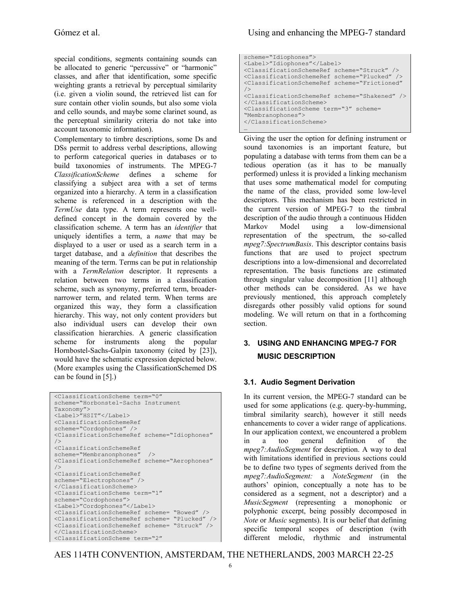special conditions, segments containing sounds can be allocated to generic "percussive" or "harmonic" classes, and after that identification, some specific weighting grants a retrieval by perceptual similarity (i.e. given a violin sound, the retrieved list can for sure contain other violin sounds, but also some viola and cello sounds, and maybe some clarinet sound, as the perceptual similarity criteria do not take into account taxonomic information).

Complementary to timbre descriptions, some Ds and DSs permit to address verbal descriptions, allowing to perform categorical queries in databases or to build taxonomies of instruments. The MPEG-7 *ClassificationScheme* defines a scheme for classifying a subject area with a set of terms organized into a hierarchy. A term in a classification scheme is referenced in a description with the *TermUse* data type. A term represents one welldefined concept in the domain covered by the classification scheme. A term has an *identifier* that uniquely identifies a term, a *name* that may be displayed to a user or used as a search term in a target database, and a *definition* that describes the meaning of the term. Terms can be put in relationship with a *TermRelation* descriptor. It represents a relation between two terms in a classification scheme, such as synonymy, preferred term, broadernarrower term, and related term. When terms are organized this way, they form a classification hierarchy. This way, not only content providers but also individual users can develop their own classification hierarchies. A generic classification scheme for instruments along the popular Hornbostel-Sachs-Galpin taxonomy (cited by [23]), would have the schematic expression depicted below. (More examples using the ClassificationSchemed DS can be found in [5].)

```
<ClassificationScheme term="0" 
scheme="Horbonstel-Sachs Instrument 
Taxonomy"> 
<Label>"HSIT"</Label> 
<ClassificationSchemeRef 
scheme="Cordophones" /> 
<ClassificationSchemeRef scheme="Idiophones" 
/> 
<ClassificationSchemeRef 
scheme="Membranonphones" /> 
<ClassificationSchemeRef scheme="Aerophones" 
/> 
<ClassificationSchemeRef 
scheme="Electrophones" /> 
</ClassificationScheme> 
<ClassificationScheme term="1" 
scheme="Cordophones"> 
<Label>"Cordophones"</Label> 
<ClassificationSchemeRef scheme= "Bowed" /> 
<ClassificationSchemeRef scheme= "Plucked" /> 
<ClassificationSchemeRef scheme= "Struck" /> 
</ClassificationScheme> 
<ClassificationScheme term="2"
```

```
scheme="Idiophones"> 
<Label>"Idiophones"</Label> 
<ClassificationSchemeRef scheme="Struck" /> 
<ClassificationSchemeRef scheme="Plucked" /> 
<ClassificationSchemeRef scheme="Frictioned" 
/> 
<ClassificationSchemeRef scheme="Shakened" /> 
</ClassificationScheme> 
<ClassificationScheme term="3" scheme= 
"Membranophones"> 
</ClassificationScheme> 
…
```
Giving the user the option for defining instrument or sound taxonomies is an important feature, but populating a database with terms from them can be a tedious operation (as it has to be manually performed) unless it is provided a linking mechanism that uses some mathematical model for computing the name of the class, provided some low-level descriptors. This mechanism has been restricted in the current version of MPEG-7 to the timbral description of the audio through a continuous Hidden Markov Model using a low-dimensional representation of the spectrum, the so-called *mpeg7:SpectrumBasis*. This descriptor contains basis functions that are used to project spectrum descriptions into a low-dimensional and decorrelated representation. The basis functions are estimated through singular value decomposition [11] although other methods can be considered. As we have previously mentioned, this approach completely disregards other possibly valid options for sound modeling. We will return on that in a forthcoming section.

# **3. USING AND ENHANCING MPEG-7 FOR MUSIC DESCRIPTION**

# **3.1. Audio Segment Derivation**

In its current version, the MPEG-7 standard can be used for some applications (e.g. query-by-humming, timbral similarity search), however it still needs enhancements to cover a wider range of applications. In our application context, we encountered a problem in a too general definition of the *mpeg7:AudioSegment* for description. A way to deal with limitations identified in previous sections could be to define two types of segments derived from the *mpeg7:AudioSegment:* a *NoteSegment* (in the authors' opinion, conceptually a note has to be considered as a segment, not a descriptor) and a *MusicSegment* (representing a monophonic or polyphonic excerpt, being possibly decomposed in *Note* or *Music* segments). It is our belief that defining specific temporal scopes of description (with different melodic, rhythmic and instrumental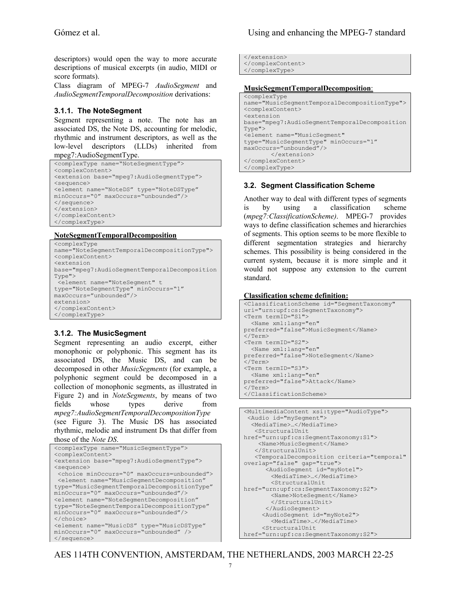descriptors) would open the way to more accurate descriptions of musical excerpts (in audio, MIDI or score formats).

Class diagram of MPEG-7 *AudioSegment* and *AudioSegmentTemporalDecomposition* derivations:

#### **3.1.1. The NoteSegment**

Segment representing a note. The note has an associated DS, the Note DS, accounting for melodic, rhythmic and instrument descriptors, as well as the low-level descriptors (LLDs) inherited from mpeg7:AudioSegmentType.

```
<complexType name="NoteSegmentType"> 
<complexContent> 
<extension base="mpeg7:AudioSegmentType"> 
<sequence> 
<element name="NoteDS" type="NoteDSType" 
minOccurs="0" maxOccurs="unbounded"/> 
</sequence> 
</extension> 
</complexContent> 
</complexType>
```
#### **NoteSegmentTemporalDecomposition**

```
<complexType 
name="NoteSegmentTemporalDecompositionType"> 
<complexContent> 
<extension 
base="mpeg7:AudioSegmentTemporalDecomposition
Type"> 
 <element name="NoteSegment" t 
type="NoteSegmentType" minOccurs="1" 
maxOccurs="unbounded"/> 
extension> 
</complexContent> 
</complexType>
```
#### **3.1.2. The MusicSegment**

Segment representing an audio excerpt, either monophonic or polyphonic. This segment has its associated DS, the Music DS, and can be decomposed in other *MusicSegments* (for example, a polyphonic segment could be decomposed in a collection of monophonic segments, as illustrated in Figure 2) and in *NoteSegments*, by means of two fields whose types derive from *mpeg7:AudioSegmentTemporalDecompositionType* (see Figure 3). The Music DS has associated rhythmic, melodic and instrument Ds that differ from those of the *Note DS*.

```
<complexType name="MusicSegmentType"> 
<complexContent> 
<extension base="mpeg7:AudioSegmentType"> 
<sequence> 
 <choice minOccurs="0" maxOccurs=unbounded"> 
 <element name="MusicSegmentDecomposition" 
type="MusicSegmentTemporalDecompositionType" 
minOccurs="0" maxOccurs="unbounded"/> 
<element name="NoteSegmentDecomposition" 
type="NoteSegmentTemporalDecompositionType" 
minOccurs="0" maxOccurs="unbounded"/> 
</choice> 
<element name="MusicDS" type="MusicDSType" 
minOccurs="0" maxOccurs="unbounded" /> 
</sequence>
```
</extension> </complexContent> </complexType>

#### **MusicSegmentTemporalDecomposition**:

```
<complexType 
name="MusicSegmentTemporalDecompositionType">
<complexContent> 
<extension 
base="mpeg7:AudioSegmentTemporalDecomposition
Type"> 
<element name="MusicSegment" 
type="MusicSegmentType" minOccurs="1" 
maxOccurs="unbounded"/> 
         </extension> 
</complexContent> 
</complexType>
```
#### **3.2. Segment Classification Scheme**

Another way to deal with different types of segments is by using a classification scheme (*mpeg7:ClassificationScheme)*. MPEG-7 provides ways to define classification schemes and hierarchies of segments. This option seems to be more flexible to different segmentation strategies and hierarchy schemes. This possibility is being considered in the current system, because it is more simple and it would not suppose any extension to the current standard.

#### **Classification scheme definition:**

```
<ClassificationScheme id="SegmentTaxonomy" 
uri="urn:upf:cs:SegmentTaxonomy"> 
<Term termID="S1"> 
   <Name xml:lang="en" 
preferred="false">MusicSegment</Name> 
\langle/Term\rangle<Term termID="S2"> 
  <Name xml:lang="en" 
preferred="false">NoteSegment</Name> 
\langle/Term\rangle<Term termID="S3"> 
   <Name xml:lang="en" 
preferred="false">Attack</Name> 
\langle/Term>
</ClassificationScheme>
```

```
<MultimediaContent xsi:type="AudioType"> 
  <Audio id="mySegment"> 
   <MediaTime>…</MediaTime> 
    <StructuralUnit 
href="urn:upf:cs:SegmentTaxonomy:S1"> 
    <Name>MusicSegment</Name> 
    </StructuralUnit> 
    <TemporalDecomposition criteria="temporal" 
overlap="false" gap="true"> 
      <AudioSegment id="myNote1"> 
        <MediaTime>…</MediaTime> 
        <StructuralUnit 
href="urn:upf:cs:SegmentTaxonomy:S2"> 
        <Name>NoteSegment</Name> 
        </StructuralUnit> 
       </AudioSegment> 
      <AudioSegment id="myNote2"> 
        <MediaTime>…</MediaTime> 
      <StructuralUnit 
href="urn:upf:cs:SegmentTaxonomy:S2">
```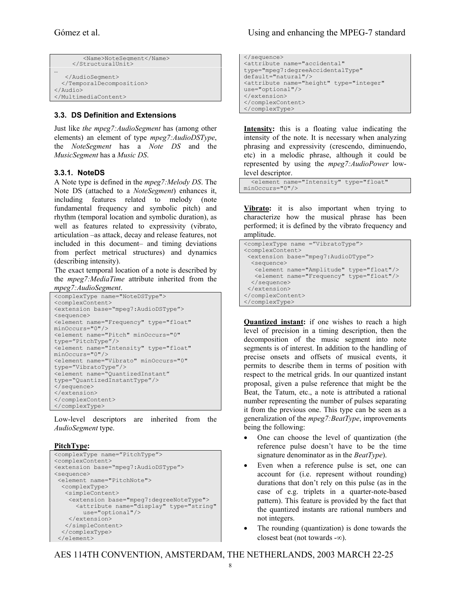```
 <Name>NoteSegment</Name> 
      </StructuralUnit> 
… 
    </AudioSegment> 
   </TemporalDecomposition> 
</Audio> 
</MultimediaContent>
```
#### **3.3. DS Definition and Extensions**

Just like *the mpeg7:AudioSegment* has (among other elements) an element of type *mpeg7:AudioDSType*, the *NoteSegment* has a *Note DS* and the *MusicSegment* has a *Music DS*.

#### **3.3.1. NoteDS**

A Note type is defined in the *mpeg7:Melody DS*. The Note DS (attached to a *NoteSegment*) enhances it, including features related to melody (note fundamental frequency and symbolic pitch) and rhythm (temporal location and symbolic duration), as well as features related to expressivity (vibrato, articulation –as attack, decay and release features, not included in this document– and timing deviations from perfect metrical structures) and dynamics (describing intensity).

The exact temporal location of a note is described by the *mpeg7:MediaTime* attribute inherited from the *mpeg7:AudioSegment*.

```
<complexType name="NoteDSType"> 
<complexContent> 
<extension base="mpeg7:AudioDSType"> 
<sequence> 
<element name="Frequency" type="float" 
minOccurs="0"/> 
<element name="Pitch" minOccurs="0" 
type="PitchType"/> 
<element name="Intensity" type="float" 
minOccurs="0"/> 
<element name="Vibrato" minOccurs="0" 
type="VibratoType"/> 
<element name="QuantizedInstant" 
type="QuantizedInstantType"/> 
</sequence> 
</extension> 
</complexContent> 
</complexType>
```
Low-level descriptors are inherited from the *AudioSegment* type.

#### **PitchType:**

```
<complexType name="PitchType"> 
<complexContent> 
<extension base="mpeg7:AudioDSType"> 
<sequence> 
  <element name="PitchNote"> 
   <complexType> 
    <simpleContent> 
     <extension base="mpeg7:degreeNoteType"> 
       <attribute name="display" type="string" 
         use="optional"/> 
     </extension> 
    </simpleContent> 
   </complexType> 
  </element>
```
</sequence> <attribute name="accidental" type="mpeg7:degreeAccidentalType" default="natural"/> <attribute name="height" type="integer" use="optional"/> </extension> </complexContent> </complexType>

**Intensity:** this is a floating value indicating the intensity of the note. It is necessary when analyzing phrasing and expressivity (crescendo, diminuendo, etc) in a melodic phrase, although it could be represented by using the *mpeg7:AudioPower* lowlevel descriptor.

```
 <element name="Intensity" type="float" 
minOccurs="0"/>
```
**Vibrato:** it is also important when trying to characterize how the musical phrase has been performed; it is defined by the vibrato frequency and amplitude.

```
<complexType name ="VibratoType"> 
<complexContent> 
  <extension base="mpeg7:AudioDType"> 
   <sequence> 
    <element name="Amplitude" type="float"/> 
   <element name="Frequency" type="float"/> 
  </sequence> 
\zeta/extension>
</complexContent> 
</complexType>
```
**Quantized instant:** if one wishes to reach a high level of precision in a timing description, then the decomposition of the music segment into note segments is of interest. In addition to the handling of precise onsets and offsets of musical events, it permits to describe them in terms of position with respect to the metrical grids. In our quantized instant proposal, given a pulse reference that might be the Beat, the Tatum, etc., a note is attributed a rational number representing the number of pulses separating it from the previous one. This type can be seen as a generalization of the *mpeg7:BeatType*, improvements being the following:

- One can choose the level of quantization (the reference pulse doesn't have to be the time signature denominator as in the *BeatType*).
- Even when a reference pulse is set, one can account for (i.e. represent without rounding) durations that don't rely on this pulse (as in the case of e.g. triplets in a quarter-note-based pattern). This feature is provided by the fact that the quantized instants are rational numbers and not integers.
- The rounding (quantization) is done towards the closest beat (not towards -∞).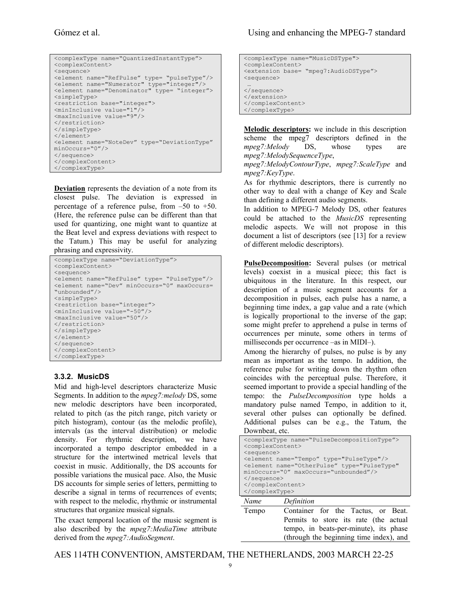```
<complexType name="QuantizedInstantType"> 
<complexContent> 
<sequence> 
<element name="RefPulse" type= "pulseType"/> 
<element name="Numerator" type="integer"/> 
<element name="Denominator" type= "integer"> 
<simpleType> 
<restriction base="integer"> 
<minInclusive value="1"/> 
<maxInclusive value="9"/> 
</restriction> 
</simpleType> 
</element> 
<element name="NoteDev" type="DeviationType" 
minOccurs="0"/> 
</sequence> 
</complexContent> 
</complexType>
```
**Deviation** represents the deviation of a note from its closest pulse. The deviation is expressed in percentage of a reference pulse, from –50 to +50. (Here, the reference pulse can be different than that used for quantizing, one might want to quantize at the Beat level and express deviations with respect to the Tatum.) This may be useful for analyzing phrasing and expressivity.

```
<complexType name="DeviationType"> 
<complexContent> 
<sequence> 
<element name="RefPulse" type= "PulseType"/> 
<element name="Dev" minOccurs="0" maxOccurs= 
"unbounded"/> 
<simpleType> 
<restriction base="integer"> 
<minInclusive value="-50"/> 
<maxInclusive value="50"/> 
</restriction>
</simpleType> 
</element> 
</sequence> 
</complexContent> 
</complexType>
```
#### **3.3.2. MusicDS**

Mid and high-level descriptors characterize Music Segments. In addition to the *mpeg7:melody* DS, some new melodic descriptors have been incorporated, related to pitch (as the pitch range, pitch variety or pitch histogram), contour (as the melodic profile), intervals (as the interval distribution) or melodic density. For rhythmic description, we have incorporated a tempo descriptor embedded in a structure for the intertwined metrical levels that coexist in music. Additionally, the DS accounts for possible variations the musical pace. Also, the Music DS accounts for simple series of letters, permitting to describe a signal in terms of recurrences of events; with respect to the melodic, rhythmic or instrumental structures that organize musical signals.

The exact temporal location of the music segment is also described by the *mpeg7:MediaTime* attribute derived from the *mpeg7:AudioSegment*.

```
<complexType name="MusicDSType"> 
<complexContent> 
<extension base= "mpeg7:AudioDSType"> 
<sequence> 
 … 
</sequence> 
</extension> 
</complexContent> 
</complexType>
```
**Melodic descriptors:** we include in this description scheme the mpeg7 descriptors defined in the *mpeg7:Melody* DS, whose types are *mpeg7:MelodySequenceType*,

*mpeg7:MelodyContourType*, *mpeg7:ScaleType* and *mpeg7:KeyType*.

As for rhythmic descriptors, there is currently no other way to deal with a change of Key and Scale than defining a different audio segments.

In addition to MPEG-7 Melody DS, other features could be attached to the *MusicDS* representing melodic aspects. We will not propose in this document a list of descriptors (see [13] for a review of different melodic descriptors).

**PulseDecomposition:** Several pulses (or metrical levels) coexist in a musical piece; this fact is ubiquitous in the literature. In this respect, our description of a music segment accounts for a decomposition in pulses, each pulse has a name, a beginning time index, a gap value and a rate (which is logically proportional to the inverse of the gap; some might prefer to apprehend a pulse in terms of occurrences per minute, some others in terms of milliseconds per occurrence –as in MIDI–).

Among the hierarchy of pulses, no pulse is by any mean as important as the tempo. In addition, the reference pulse for writing down the rhythm often coincides with the perceptual pulse. Therefore, it seemed important to provide a special handling of the tempo: the *PulseDecomposition* type holds a mandatory pulse named Tempo, in addition to it, several other pulses can optionally be defined. Additional pulses can be e.g., the Tatum, the Downbeat, etc.

| <complextype name="PulseDecompositionType"></complextype>         |  |  |  |
|-------------------------------------------------------------------|--|--|--|
| <complexcontent></complexcontent>                                 |  |  |  |
| <sequence></sequence>                                             |  |  |  |
| <element name="Tempo" type="PulseType"></element>                 |  |  |  |
| <element <="" name="OtherPulse" td="" type="PulseType"></element> |  |  |  |
| minOccurs="0" maxOccurs="unbounded"/>                             |  |  |  |
| $\langle$ /sequence>                                              |  |  |  |
|                                                                   |  |  |  |
|                                                                   |  |  |  |
| Definition<br>Name                                                |  |  |  |

| Tempo | Container for the Tactus, or Beat.      |
|-------|-----------------------------------------|
|       | Permits to store its rate (the actual   |
|       | tempo, in beats-per-minute), its phase  |
|       | (through the beginning time index), and |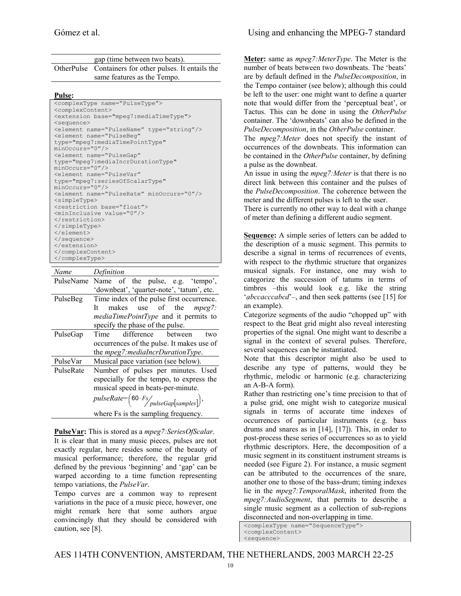| gap (time between two beats). |                                                        |  |
|-------------------------------|--------------------------------------------------------|--|
|                               | OtherPulse Containers for other pulses. It entails the |  |
|                               | same features as the Tempo.                            |  |

#### **Pulse:**

| <complextype name="PulseType"></complextype>       |  |  |  |  |
|----------------------------------------------------|--|--|--|--|
| <complexcontent></complexcontent>                  |  |  |  |  |
| <extension base="mpeg7:mediaTimeType"></extension> |  |  |  |  |
| <sequence></sequence>                              |  |  |  |  |
| <element name="PulseName" type="string"></element> |  |  |  |  |
| <element <="" name="PulseBeq" td=""></element>     |  |  |  |  |
| type="mpeq7:mediaTimePointType"                    |  |  |  |  |
| minOccurs="0"/>                                    |  |  |  |  |
| <element <="" name="PulseGap" td=""></element>     |  |  |  |  |
| type="mpeg7:mediaIncrDurationType"                 |  |  |  |  |
| $minOccurs="0"$ />                                 |  |  |  |  |
| <element <="" name="PulseVar" td=""></element>     |  |  |  |  |
| type="mpeq7:seriesOfScalarType"                    |  |  |  |  |
| minOccurs="0"/>                                    |  |  |  |  |
| <element minoccurs="0" name="PulseRate"></element> |  |  |  |  |
| <simpletype></simpletype>                          |  |  |  |  |
| <restriction base="float"></restriction>           |  |  |  |  |
| <mininclusive value="0"></mininclusive>            |  |  |  |  |
|                                                    |  |  |  |  |
|                                                    |  |  |  |  |
|                                                    |  |  |  |  |
|                                                    |  |  |  |  |
|                                                    |  |  |  |  |
|                                                    |  |  |  |  |
|                                                    |  |  |  |  |

| Name      | Definition                                          |  |  |
|-----------|-----------------------------------------------------|--|--|
| PulseName | Name of the pulse, e.g. 'tempo',                    |  |  |
|           | 'downbeat', 'quarter-note', 'tatum', etc.           |  |  |
| PulseBeg  | Time index of the pulse first occurrence.           |  |  |
|           | makes use of the <i>mpeg</i> 7:<br>It               |  |  |
|           | <i>mediaTimePointType</i> and it permits to         |  |  |
|           | specify the phase of the pulse.                     |  |  |
| PulseGap  | difference between<br>Time<br>two                   |  |  |
|           | occurrences of the pulse. It makes use of           |  |  |
|           | the mpeg7:mediaIncrDurationType.                    |  |  |
| PulseVar  | Musical pace variation (see below).                 |  |  |
| PulseRate | Number of pulses per minutes. Used                  |  |  |
|           | especially for the tempo, to express the            |  |  |
|           | musical speed in beats-per-minute.                  |  |  |
|           | $pulseRate = (60 \cdot Fs / \nplus eGap[samples]),$ |  |  |
|           | where Fs is the sampling frequency.                 |  |  |

**PulseVar:** This is stored as a *mpeg7:SeriesOfScalar*. It is clear that in many music pieces, pulses are not exactly regular, here resides some of the beauty of musical performance; therefore, the regular grid defined by the previous 'beginning' and 'gap' can be

warped according to a time function representing tempo variations, the *PulseVar*. Tempo curves are a common way to represent

variations in the pace of a music piece, however, one might remark here that some authors argue convincingly that they should be considered with caution, see [8].

**Meter:** same as *mpeg7:MeterType*. The Meter is the number of beats between two downbeats. The 'beats' are by default defined in the *PulseDecomposition*, in the Tempo container (see below); although this could be left to the user: one might want to define a quarter note that would differ from the 'perceptual beat', or Tactus. This can be done in using the *OtherPulse* container. The 'downbeats' can also be defined in the *PulseDecomposition*, in the *OtherPulse* container.

The *mpeg7:Meter* does not specify the instant of occurrences of the downbeats. This information can be contained in the *OtherPulse* container, by defining a pulse as the downbeat.

An issue in using the *mpeg7:Meter* is that there is no direct link between this container and the pulses of the *PulseDecomposition*. The coherence between the meter and the different pulses is left to the user.

There is currently no other way to deal with a change of meter than defining a different audio segment.

**Sequence:** A simple series of letters can be added to the description of a music segment. This permits to describe a signal in terms of recurrences of events, with respect to the rhythmic structure that organizes musical signals. For instance, one may wish to categorize the succession of tatums in terms of timbres –this would look e.g. like the string '*abccacccabcd*'–, and then seek patterns (see [15] for an example).

Categorize segments of the audio "chopped up" with respect to the Beat grid might also reveal interesting properties of the signal. One might want to describe a signal in the context of several pulses. Therefore, several sequences can be instantiated.

Note that this descriptor might also be used to describe any type of patterns, would they be rhythmic, melodic or harmonic (e.g. characterizing an A-B-A form).

Rather than restricting one's time precision to that of a pulse grid, one might wish to categorize musical signals in terms of accurate time indexes of occurrences of particular instruments (e.g. bass drums and snares as in [14], [17]). This, in order to post-process these series of occurrences so as to yield rhythmic descriptors. Here, the decomposition of a music segment in its constituent instrument streams is needed (see Figure 2). For instance, a music segment can be attributed to the occurrences of the snare, another one to those of the bass-drum; timing indexes lie in the *mpeg7:TemporalMask*, inherited from the *mpeg7:AudioSegment*, that permits to describe a single music segment as a collection of sub-regions disconnected and non-overlapping in time.

<complexType name="SequenceType"> <complexContent> <sequence>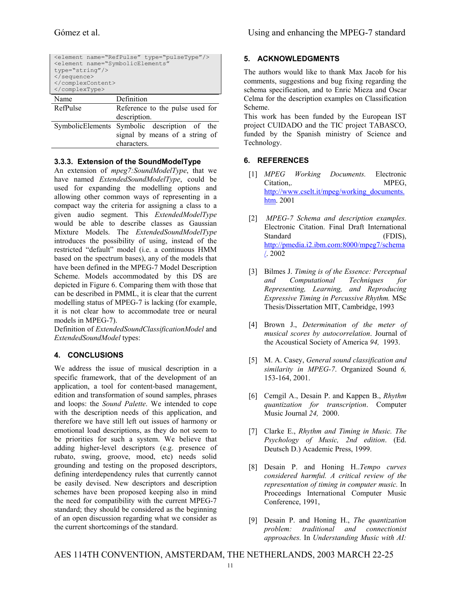| <element name="RefPulse" type="pulseType"></element><br><element <br="" name="SymbolicElements"><math>type="string''/&gt;</math><br/><br/><br/></element> |                                                                                               |  |  |
|-----------------------------------------------------------------------------------------------------------------------------------------------------------|-----------------------------------------------------------------------------------------------|--|--|
| Name                                                                                                                                                      | Definition                                                                                    |  |  |
| RefPulse                                                                                                                                                  | Reference to the pulse used for                                                               |  |  |
|                                                                                                                                                           | description.                                                                                  |  |  |
|                                                                                                                                                           | SymbolicElements Symbolic description of the<br>signal by means of a string of<br>characters. |  |  |

#### **3.3.3. Extension of the SoundModelType**

An extension of *mpeg7:SoundModelType*, that we have named *ExtendedSoundModelType*, could be used for expanding the modelling options and allowing other common ways of representing in a compact way the criteria for assigning a class to a given audio segment. This *ExtendedModelType* would be able to describe classes as Gaussian Mixture Models. The *ExtendedSoundModelType* introduces the possibility of using, instead of the restricted "default" model (i.e. a continuous HMM based on the spectrum bases), any of the models that have been defined in the MPEG-7 Model Description Scheme. Models accommodated by this DS are depicted in Figure 6. Comparing them with those that can be described in PMML, it is clear that the current modelling status of MPEG-7 is lacking (for example, it is not clear how to accommodate tree or neural models in MPEG-7).

Definition of *ExtendedSoundClassificationModel* and *ExtendedSoundModel* types:

#### **4. CONCLUSIONS**

We address the issue of musical description in a specific framework, that of the development of an application, a tool for content-based management, edition and transformation of sound samples, phrases and loops: the *Sound Palette*. We intended to cope with the description needs of this application, and therefore we have still left out issues of harmony or emotional load descriptions, as they do not seem to be priorities for such a system. We believe that adding higher-level descriptors (e.g. presence of rubato, swing, groove, mood, etc) needs solid grounding and testing on the proposed descriptors, defining interdependency rules that currently cannot be easily devised. New descriptors and description schemes have been proposed keeping also in mind the need for compatibility with the current MPEG-7 standard; they should be considered as the beginning of an open discussion regarding what we consider as the current shortcomings of the standard.

#### **5. ACKNOWLEDGMENTS**

The authors would like to thank Max Jacob for his comments, suggestions and bug fixing regarding the schema specification, and to Enric Mieza and Oscar Celma for the description examples on Classification Scheme.

This work has been funded by the European IST project CUIDADO and the TIC project TABASCO, funded by the Spanish ministry of Science and Technology.

#### **6. REFERENCES**

- [1] *MPEG Working Documents.* Electronic Citation, MPEG, http://www.cselt.it/mpeg/working\_documents. htm. 2001
- [2] *MPEG-7 Schema and description examples.*  Electronic Citation. Final Draft International Standard (FDIS), http://pmedia.i2.ibm.com:8000/mpeg7/schema /. 2002
- [3] Bilmes J. *Timing is of the Essence: Perceptual and Computational Techniques for Representing, Learning, and Reproducing Expressive Timing in Percussive Rhythm.* MSc Thesis/Dissertation MIT, Cambridge, 1993
- [4] Brown J., *Determination of the meter of musical scores by autocorrelation*. Journal of the Acoustical Society of America *94,* 1993.
- [5] M. A. Casey, *General sound classification and similarity in MPEG-7*. Organized Sound *6,*  153-164, 2001.
- [6] Cemgil A., Desain P. and Kappen B., *Rhythm quantization for transcription*. Computer Music Journal *24,* 2000.
- [7] Clarke E., *Rhythm and Timing in Music. The Psychology of Music, 2nd edition*. (Ed. Deutsch D.) Academic Press, 1999.
- [8] Desain P. and Honing H..*Tempo curves considered harmful. A critical review of the representation of timing in computer music.* In Proceedings International Computer Music Conference, 1991,
- [9] Desain P. and Honing H., *The quantization problem: traditional and connectionist approaches.* In *Understanding Music with AI:*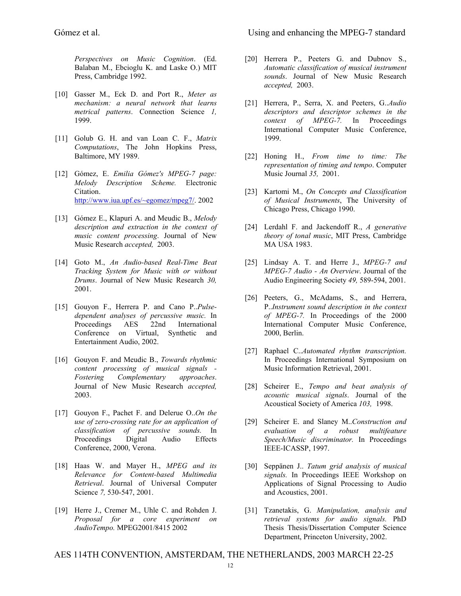*Perspectives on Music Cognition*. (Ed. Balaban M., Ebcioglu K. and Laske O.) MIT Press, Cambridge 1992.

- [10] Gasser M., Eck D. and Port R., *Meter as mechanism: a neural network that learns metrical patterns*. Connection Science *1,*  1999.
- [11] Golub G. H. and van Loan C. F., *Matrix Computations*, The John Hopkins Press, Baltimore, MY 1989.
- [12] Gómez, E. *Emilia Gómez's MPEG-7 page: Melody Description Scheme.* Electronic Citation. http://www.iua.upf.es/~egomez/mpeg7/. 2002
- [13] Gómez E., Klapuri A. and Meudic B., *Melody description and extraction in the context of music content processing*. Journal of New Music Research *accepted,* 2003.
- [14] Goto M., *An Audio-based Real-Time Beat Tracking System for Music with or without Drums*. Journal of New Music Research *30,*  2001.
- [15] Gouyon F., Herrera P. and Cano P..*Pulsedependent analyses of percussive music.* In Proceedings AES 22nd International Conference on Virtual, Synthetic and Entertainment Audio, 2002.
- [16] Gouyon F. and Meudic B., *Towards rhythmic content processing of musical signals - Fostering Complementary approaches*. Journal of New Music Research *accepted,*  2003.
- [17] Gouyon F., Pachet F. and Delerue O..*On the use of zero-crossing rate for an application of classification of percussive sounds.* In Proceedings Digital Audio Effects Conference, 2000, Verona.
- [18] Haas W. and Mayer H., *MPEG and its Relevance for Content-based Multimedia Retrieval*. Journal of Universal Computer Science *7,* 530-547, 2001.
- [19] Herre J., Cremer M., Uhle C. and Rohden J. *Proposal for a core experiment on AudioTempo.* MPEG2001/8415 2002
- [20] Herrera P., Peeters G. and Dubnov S., *Automatic classification of musical instrument sounds*. Journal of New Music Research *accepted,* 2003.
- [21] Herrera, P., Serra, X. and Peeters, G..*Audio descriptors and descriptor schemes in the context of MPEG-7.* In Proceedings International Computer Music Conference, 1999.
- [22] Honing H., *From time to time: The representation of timing and tempo*. Computer Music Journal *35,* 2001.
- [23] Kartomi M., *On Concepts and Classification of Musical Instruments*, The University of Chicago Press, Chicago 1990.
- [24] Lerdahl F. and Jackendoff R., *A generative theory of tonal music*, MIT Press, Cambridge MA USA 1983.
- [25] Lindsay A. T. and Herre J., *MPEG-7 and MPEG-7 Audio - An Overview*. Journal of the Audio Engineering Society *49,* 589-594, 2001.
- [26] Peeters, G., McAdams, S., and Herrera, P..*Instrument sound description in the context of MPEG-7.* In Proceedings of the 2000 International Computer Music Conference, 2000, Berlin.
- [27] Raphael C..*Automated rhythm transcription.* In Proceedings International Symposium on Music Information Retrieval, 2001.
- [28] Scheirer E., *Tempo and beat analysis of acoustic musical signals*. Journal of the Acoustical Society of America *103,* 1998.
- [29] Scheirer E. and Slaney M..*Construction and evaluation of a robust multifeature Speech/Music discriminator.* In Proceedings IEEE-ICASSP, 1997.
- [30] Seppänen J.. *Tatum grid analysis of musical signals.* In Proceedings IEEE Workshop on Applications of Signal Processing to Audio and Acoustics, 2001.
- [31] Tzanetakis, G. *Manipulation, analysis and retrieval systems for audio signals.* PhD Thesis Thesis/Dissertation Computer Science Department, Princeton University, 2002.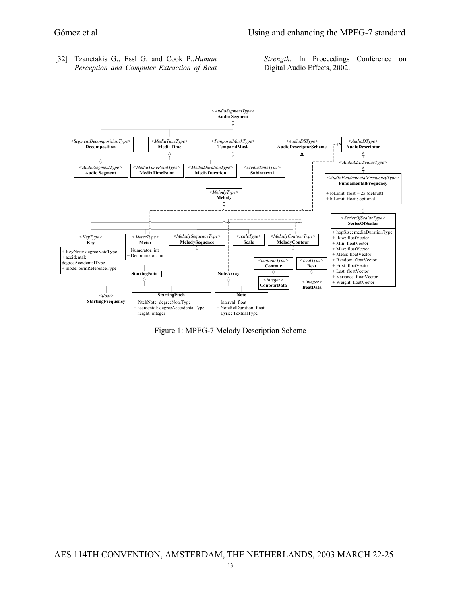[32] Tzanetakis G., Essl G. and Cook P..*Human Perception and Computer Extraction of Beat*  *Strength.* In Proceedings Conference on Digital Audio Effects, 2002.



Figure 1: MPEG-7 Melody Description Scheme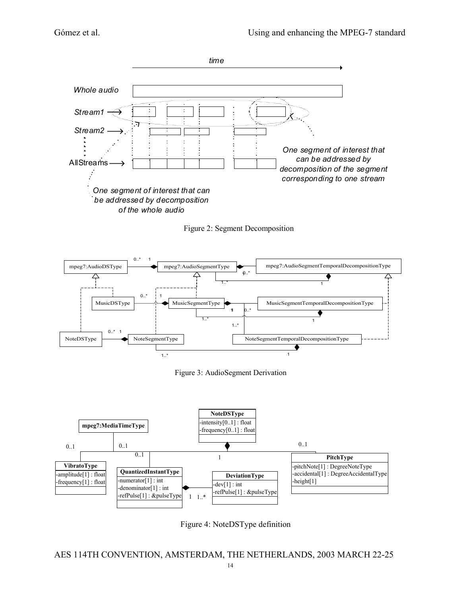

Figure 2: Segment Decomposition



Figure 3: AudioSegment Derivation



Figure 4: NoteDSType definition